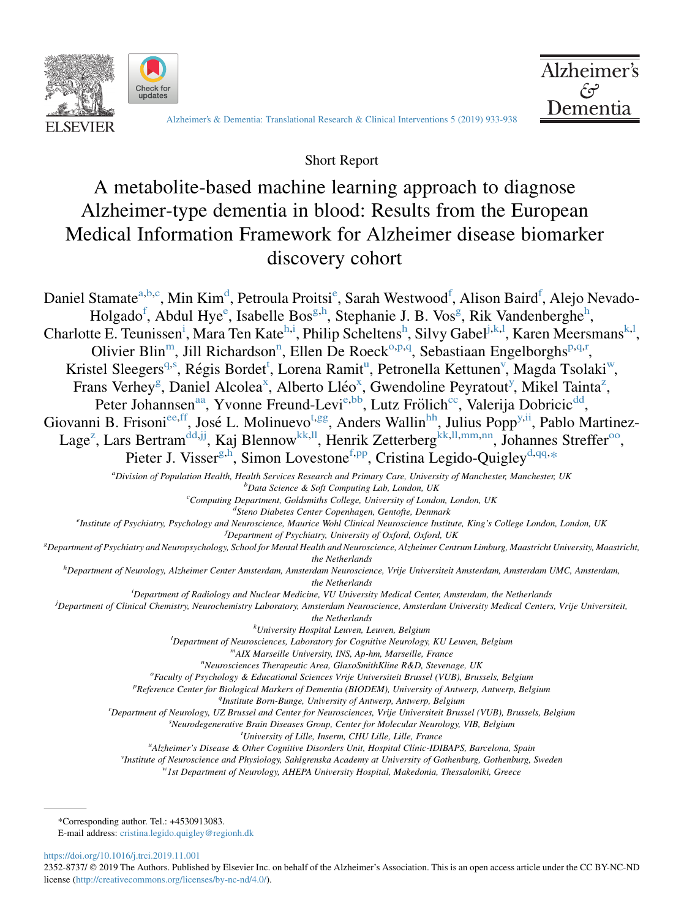





[Alzheimer's & Dementia: Translational Research & Clinical Interventions 5 \(2019\) 933-938](https://doi.org/10.1016/j.trci.2019.11.001)

Short Report

# A metabolite-based machine learning approach to diagnose Alzheimer-type dementia in blood: Results from the European Medical Information Framework for Alzheimer disease biomarker discovery cohort

Daniel Stamate<sup>a,b,c</sup>, Min Kim<sup>d</sup>, Petroula Proitsi<sup>e</sup>, Sarah Westwood<sup>f</sup>, Alison Baird<sup>f</sup>, Alejo Nevado-Holgado<sup>f</sup>, Abdul Hye<sup>e</sup>, Isabelle Bos<sup>g,h</sup>, Stephanie J. B. Vos<sup>g</sup>, Rik Vandenberghe<sup>h</sup>, Charlotte E. Teunissen<sup>i</sup>, Mara Ten Kate<sup>h,i</sup>, Philip Scheltens<sup>h</sup>, Silvy Gabel<sup>j,k,l</sup>, Karen Meersmans<sup>k,l</sup>, Olivier Blin<sup>m</sup>, Jill Richardson<sup>n</sup>, Ellen De Roeck<sup>o,p,q</sup>, Sebastiaan Engelborghs<sup>p,q,r</sup>, Kristel Sleegers<sup>q,s</sup>, Régis Bordet<sup>t</sup>, Lorena Ramit<sup>u</sup>, Petronella Kettunen<sup>v</sup>, Magda Tsolaki<sup>w</sup>, Frans Verhey<sup>g</sup>, Daniel Alcolea<sup>[x](#page-1-0)</sup>, Alberto Lléo<sup>x</sup>, Gwendoline Pe[y](#page-1-0)ratout<sup>y</sup>, Mikel Tainta<sup>[z](#page-1-0)</sup>, Peter Johannsen<sup>[aa](#page-1-0)</sup>, Yvonne Freund-Levi<sup>e,bb</sup>, Lutz Frölich<sup>[cc](#page-1-0)</sup>, Valerija Dobricic<sup>dd</sup>, Giovanni B. Frisoni<sup>[ee](#page-1-0),ff</sup>, José L. Molinuevo<sup>t,gg</sup>, Anders Wallin<sup>hh</sup>, Julius Popp<sup>y,ii</sup>, Pablo MartinezLage<sup>[z](#page-1-0)</sup>, Lars Bertram<sup>[dd](#page-1-0),[jj](#page-1-0)</sup>, Kaj Blennow<sup>kk, II</sup>, Henrik Zetterberg<sup>kk, II, mm, nn</sup>, Johannes Streffer<sup>oo</sup>, Pieter J. Visser<sup>g,h</sup>, Simon Lovestone<sup>f,pp</sup>, Cristina Legido-Quigley<sup>d[,qq](#page-1-0),\*</sup>

a Division of Population Health, Health Services Research and Primary Care, University of Manchester, Manchester, UK<br>b Data Scimna & Soft Computing Lab London, UK

 ${}^{b}$ Data Science & Soft Computing Lab, London, UK

<sup>c</sup>Computing Department, Goldsmiths College, University of London, London, UK downto the Diabetes Center Copenhagen, Gentofte, Denmark

<sup>a</sup>Steno Diabetes Center Copenhagen, Gentofte, Denmark<br>Institute of Psychiatry, Psychology and Neuroscience, Maurice Wohl Clinical Neuroscience Institute, King's College London, London, UK<sup>e</sup>

<sup>f</sup>Department of Psychiatry, University of Oxford, Oxford, UK

g Department of Psychiatry and Neuropsychology, School for Mental Health and Neuroscience, Alzheimer Centrum Limburg, Maastricht University, Maastricht,

the Netherlands<br><sup>h</sup>Department of Neurology, Alzheimer Center Amsterdam, Amsterdam Neuroscience, Vrije Universiteit Amsterdam, Amsterdam UMC, Amsterdam,

the Netherlands

i Department of Radiology and Nuclear Medicine, VU University Medical Center, Amsterdam, the Netherlands j Department of Clinical Chemistry, Neurochemistry Laboratory, Amsterdam Neuroscience, Amsterdam University Medical Centers, Vrije Universiteit,

the Netherlands<br><sup>k</sup>University Hospital Leuven, Leuven, Belgium

Department of Neurosciences, Laboratory for Cognitive Neurology, KU Leuven, Belgium<br>
"AIX Marseille University, INS, Ap-hm, Marseille, France<br>
"Neurosciences Therapautic Area, GlazoSmithKline B.E.D. Stevenges, LIK

Neurosciences Therapeutic Area, GlaxoSmithKline R&D, Stevenage, UK

<sup>o</sup>Faculty of Psychology & Educational Sciences Vrije Universiteit Brussel (VUB), Brussels, Belgium<br><sup>P</sup>Reference Center for Biological Markers of Demontia (BIODEM), University of Antwerp, Antwerp, Belgium

PReference Center for Biological Markers of Dementia (BIODEM), University of Antwerp, Antwerp, Belgium <sup>q</sup>Institute Born-Bunge, University of Antwerp, Antwerp, Belgium

<sup>4</sup>Institute Born-Bunge, University of Antwerp, Antwerp, Belgium<br>Department of Neurology, UZ Brussel and Center for Neurosciences, Vrije Universiteit Brussel (VUB), Brussels, Belgium

Neurodegenerative Brain Diseases Group, Center for Molecular Neurology, VIB, Belgium<br><sup>1</sup>University of Lille Jacama CHU Lille Lille France

University of Lille, Inserm, CHU Lille, Lille, France<br>"Alzheimer's Disease & Other Cognitive Diseaders Unit, Hespital Clínic ID

Alzheimer's Disease & Other Cognitive Disorders Unit, Hospital Clınic-IDIBAPS, Barcelona, Spain <sup>v</sup>

<sup>V</sup>Institute of Neuroscience and Physiology, Sahlgrenska Academy at University of Gothenburg, Gothenburg, Sweden

<sup>\*</sup>Ist Department of Neurology, AHEPA University Hospital, Makedonia, Thessaloniki, Greece

\*Corresponding author. Tel.: +4530913083. E-mail address: [cristina.legido.quigley@regionh.dk](mailto:cristina.legido.quigley@regionh.dk)

<https://doi.org/10.1016/j.trci.2019.11.001>

2352-8737/  $\odot$  2019 The Authors. Published by Elsevier Inc. on behalf of the Alzheimer's Association. This is an open access article under the CC BY-NC-ND license ([http://creativecommons.org/licenses/by-nc-nd/4.0/\)](http://creativecommons.org/licenses/by-nc-nd/4.0/).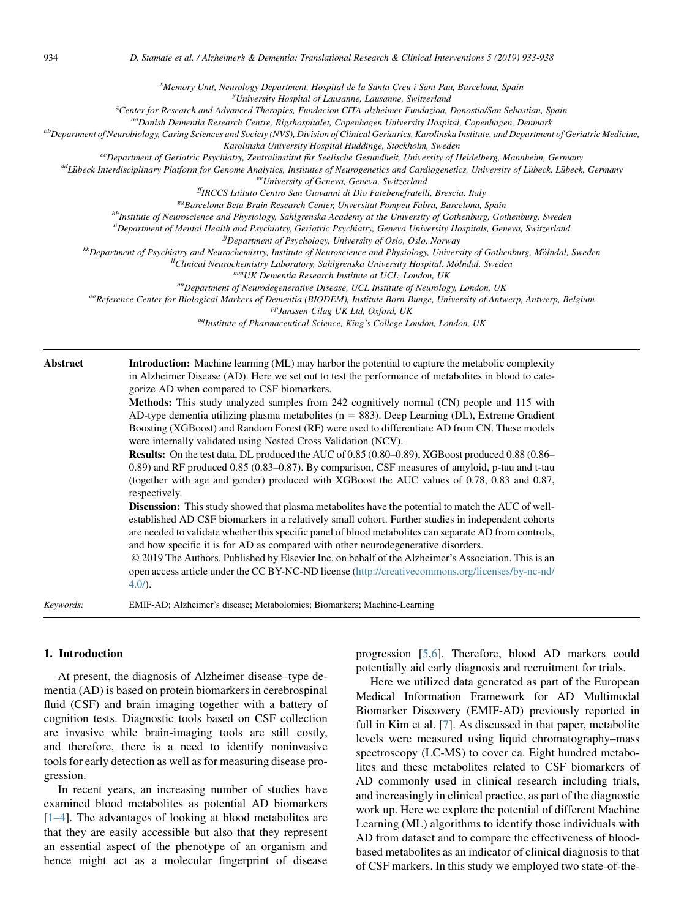x Memory Unit, Neurology Department, Hospital de la Santa Creu i Sant Pau, Barcelona, Spain

<sup>y</sup>University Hospital of Lausanne, Lausanne, Switzerland

<sup>z</sup>Center for Research and Advanced Therapies, Fundacion CITA-alzheimer Fundazioa, Donostia/San Sebastian, Spain

<span id="page-1-0"></span><sup>aa</sup>Danish Dementia Research Centre, Rigshospitalet, Copenhagen University Hospital, Copenhagen, Denmark<br>b<sup>b</sup>Department of Neurobiology, Caring Sciences and Society (NVS), Division of Clinical Geriatrics, Karolinska Instit

Karolinska University Hospital Huddinge, Stockholm, Sweden<br><sup>cc</sup>Department of Geriatric Psychiatry, Zentralinstitut für Seelische Gesundheit, University of Heidelberg, Mannheim, Germany<br><sup>dd</sup>Lübeck Interdisciplinary Platform

<sup>ff</sup>IRCCS Istituto Centro San Giovanni di Dio Fatebenefratelli, Brescia, Italy<br><sup>88</sup>Barcelona Beta Brain Research Center, Unversitat Pompeu Fabra, Barcelona, Spain<br><sup>hh</sup>Institute of Neuroscience and Physiology, Sahlgrenska A

iiDepartment of Mental Health and Psychiatry, Geriatric Psychiatry, Geneva University Hospitals, Geneva, Switzerland

<sup>31</sup>Department of Psychiatry and Neurochemistry, Institute of Neuroscience and Physiology, University of Gothenburg, Mölndal, Sweden<br><sup>11</sup>Clinical Neurochemistry Laboratory, Sahlgrenska University Hospital, Mölndal, Sweden

Abstract Introduction: Machine learning (ML) may harbor the potential to capture the metabolic complexity in Alzheimer Disease (AD). Here we set out to test the performance of metabolites in blood to categorize AD when compared to CSF biomarkers.

> Methods: This study analyzed samples from 242 cognitively normal (CN) people and 115 with AD-type dementia utilizing plasma metabolites ( $n = 883$ ). Deep Learning (DL), Extreme Gradient Boosting (XGBoost) and Random Forest (RF) were used to differentiate AD from CN. These models were internally validated using Nested Cross Validation (NCV).

> Results: On the test data, DL produced the AUC of 0.85 (0.80–0.89), XGBoost produced 0.88 (0.86– 0.89) and RF produced 0.85 (0.83–0.87). By comparison, CSF measures of amyloid, p-tau and t-tau (together with age and gender) produced with XGBoost the AUC values of 0.78, 0.83 and 0.87, respectively.

> Discussion: This study showed that plasma metabolites have the potential to match the AUC of wellestablished AD CSF biomarkers in a relatively small cohort. Further studies in independent cohorts are needed to validate whether this specific panel of blood metabolites can separate AD from controls, and how specific it is for AD as compared with other neurodegenerative disorders.

> 2019 The Authors. Published by Elsevier Inc. on behalf of the Alzheimer's Association. This is an open access article under the CC BY-NC-ND license ([http://creativecommons.org/licenses/by-nc-nd/](http://creativecommons.org/licenses/by-nc-nd/4.0/) [4.0/](http://creativecommons.org/licenses/by-nc-nd/4.0/)).

Keywords: EMIF-AD; Alzheimer's disease; Metabolomics; Biomarkers; Machine-Learning

#### 1. Introduction

At present, the diagnosis of Alzheimer disease–type dementia (AD) is based on protein biomarkers in cerebrospinal fluid (CSF) and brain imaging together with a battery of cognition tests. Diagnostic tools based on CSF collection are invasive while brain-imaging tools are still costly, and therefore, there is a need to identify noninvasive tools for early detection as well as for measuring disease progression.

In recent years, an increasing number of studies have examined blood metabolites as potential AD biomarkers [\[1–4](#page-4-0)]. The advantages of looking at blood metabolites are that they are easily accessible but also that they represent an essential aspect of the phenotype of an organism and hence might act as a molecular fingerprint of disease progression [\[5](#page-5-0),[6\]](#page-5-0). Therefore, blood AD markers could potentially aid early diagnosis and recruitment for trials.

Here we utilized data generated as part of the European Medical Information Framework for AD Multimodal Biomarker Discovery (EMIF-AD) previously reported in full in Kim et al. [\[7](#page-5-0)]. As discussed in that paper, metabolite levels were measured using liquid chromatography–mass spectroscopy (LC-MS) to cover ca. Eight hundred metabolites and these metabolites related to CSF biomarkers of AD commonly used in clinical research including trials, and increasingly in clinical practice, as part of the diagnostic work up. Here we explore the potential of different Machine Learning (ML) algorithms to identify those individuals with AD from dataset and to compare the effectiveness of bloodbased metabolites as an indicator of clinical diagnosis to that of CSF markers. In this study we employed two state-of-the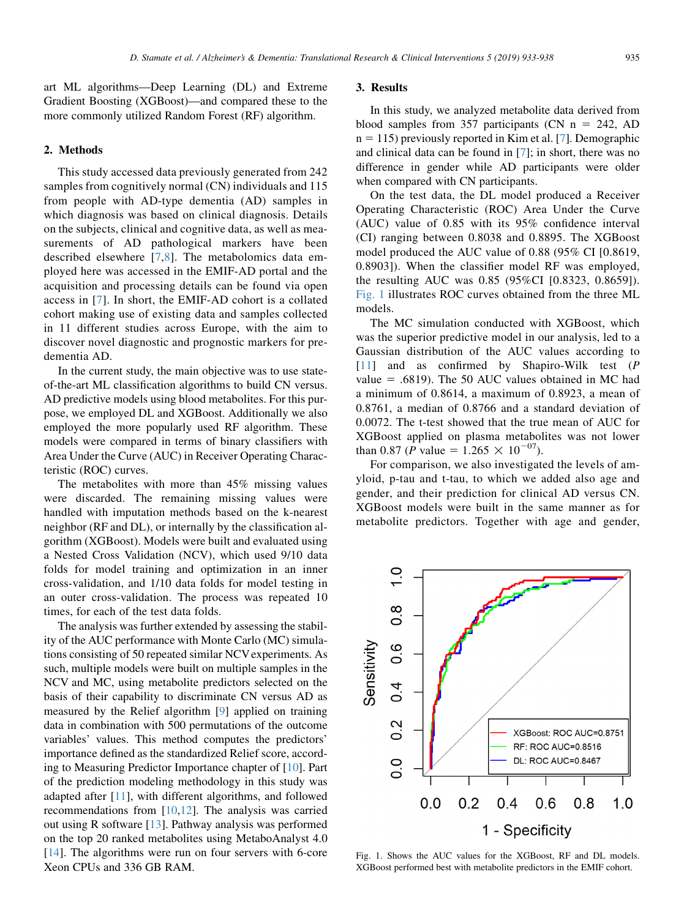art ML algorithms—Deep Learning (DL) and Extreme Gradient Boosting (XGBoost)—and compared these to the more commonly utilized Random Forest (RF) algorithm.

### 2. Methods

This study accessed data previously generated from 242 samples from cognitively normal (CN) individuals and 115 from people with AD-type dementia (AD) samples in which diagnosis was based on clinical diagnosis. Details on the subjects, clinical and cognitive data, as well as measurements of AD pathological markers have been described elsewhere [[7,8\]](#page-5-0). The metabolomics data employed here was accessed in the EMIF-AD portal and the acquisition and processing details can be found via open access in [\[7](#page-5-0)]. In short, the EMIF-AD cohort is a collated cohort making use of existing data and samples collected in 11 different studies across Europe, with the aim to discover novel diagnostic and prognostic markers for predementia AD.

In the current study, the main objective was to use stateof-the-art ML classification algorithms to build CN versus. AD predictive models using blood metabolites. For this purpose, we employed DL and XGBoost. Additionally we also employed the more popularly used RF algorithm. These models were compared in terms of binary classifiers with Area Under the Curve (AUC) in Receiver Operating Characteristic (ROC) curves.

The metabolites with more than 45% missing values were discarded. The remaining missing values were handled with imputation methods based on the k-nearest neighbor (RF and DL), or internally by the classification algorithm (XGBoost). Models were built and evaluated using a Nested Cross Validation (NCV), which used 9/10 data folds for model training and optimization in an inner cross-validation, and 1/10 data folds for model testing in an outer cross-validation. The process was repeated 10 times, for each of the test data folds.

The analysis was further extended by assessing the stability of the AUC performance with Monte Carlo (MC) simulations consisting of 50 repeated similar NCVexperiments. As such, multiple models were built on multiple samples in the NCV and MC, using metabolite predictors selected on the basis of their capability to discriminate CN versus AD as measured by the Relief algorithm [[9\]](#page-5-0) applied on training data in combination with 500 permutations of the outcome variables' values. This method computes the predictors' importance defined as the standardized Relief score, according to Measuring Predictor Importance chapter of [[10\]](#page-5-0). Part of the prediction modeling methodology in this study was adapted after [\[11](#page-5-0)], with different algorithms, and followed recommendations from  $[10,12]$  $[10,12]$  $[10,12]$ . The analysis was carried out using R software [\[13](#page-5-0)]. Pathway analysis was performed on the top 20 ranked metabolites using MetaboAnalyst 4.0 [\[14](#page-5-0)]. The algorithms were run on four servers with 6-core Xeon CPUs and 336 GB RAM.

#### 3. Results

In this study, we analyzed metabolite data derived from blood samples from 357 participants (CN  $n = 242$ , AD  $n = 115$ ) previously reported in Kim et al. [[7\]](#page-5-0). Demographic and clinical data can be found in [\[7](#page-5-0)]; in short, there was no difference in gender while AD participants were older when compared with CN participants.

On the test data, the DL model produced a Receiver Operating Characteristic (ROC) Area Under the Curve (AUC) value of 0.85 with its 95% confidence interval (CI) ranging between 0.8038 and 0.8895. The XGBoost model produced the AUC value of 0.88 (95% CI [0.8619, 0.8903]). When the classifier model RF was employed, the resulting AUC was 0.85 (95%CI [0.8323, 0.8659]). Fig. 1 illustrates ROC curves obtained from the three ML models.

The MC simulation conducted with XGBoost, which was the superior predictive model in our analysis, led to a Gaussian distribution of the AUC values according to [\[11\]](#page-5-0) and as confirmed by Shapiro-Wilk test (P value  $=$  .6819). The 50 AUC values obtained in MC had a minimum of 0.8614, a maximum of 0.8923, a mean of 0.8761, a median of 0.8766 and a standard deviation of 0.0072. The t-test showed that the true mean of AUC for XGBoost applied on plasma metabolites was not lower than 0.87 (*P* value =  $1.265 \times 10^{-07}$ ).

For comparison, we also investigated the levels of amyloid, p-tau and t-tau, to which we added also age and gender, and their prediction for clinical AD versus CN. XGBoost models were built in the same manner as for metabolite predictors. Together with age and gender,



Fig. 1. Shows the AUC values for the XGBoost, RF and DL models. XGBoost performed best with metabolite predictors in the EMIF cohort.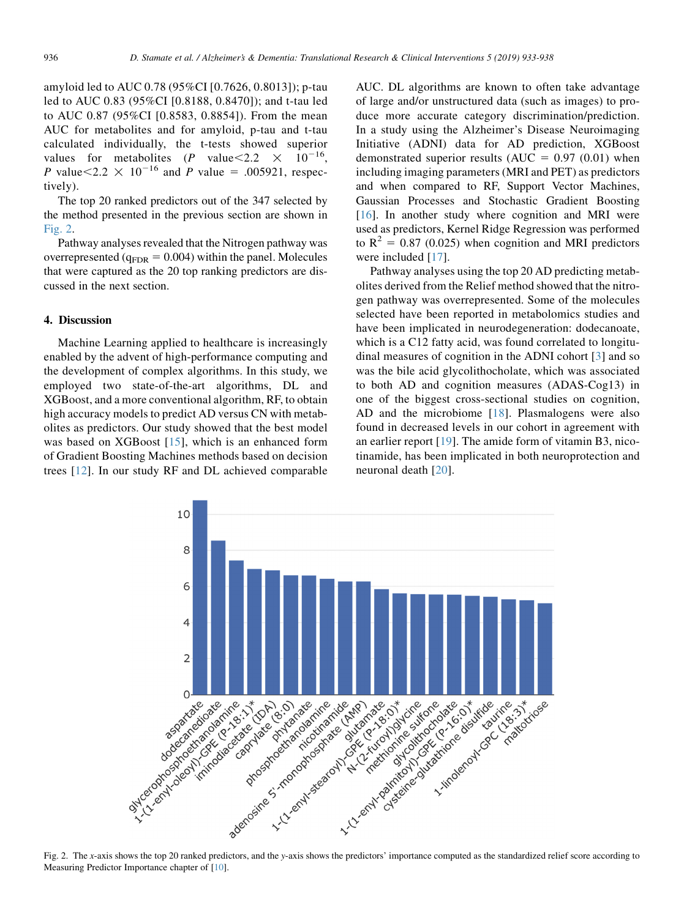amyloid led to AUC 0.78 (95%CI [0.7626, 0.8013]); p-tau led to AUC 0.83 (95%CI [0.8188, 0.8470]); and t-tau led to AUC 0.87 (95%CI [0.8583, 0.8854]). From the mean AUC for metabolites and for amyloid, p-tau and t-tau calculated individually, the t-tests showed superior values for metabolites (P value $\leq 2.2 \times 10^{-16}$ , P value $< 2.2 \times 10^{-16}$  and P value = .005921, respectively).

The top 20 ranked predictors out of the 347 selected by the method presented in the previous section are shown in Fig. 2.

Pathway analyses revealed that the Nitrogen pathway was overrepresented ( $q_{\text{FDR}} = 0.004$ ) within the panel. Molecules that were captured as the 20 top ranking predictors are discussed in the next section.

#### 4. Discussion

Machine Learning applied to healthcare is increasingly enabled by the advent of high-performance computing and the development of complex algorithms. In this study, we employed two state-of-the-art algorithms, DL and XGBoost, and a more conventional algorithm, RF, to obtain high accuracy models to predict AD versus CN with metabolites as predictors. Our study showed that the best model was based on XGBoost [\[15](#page-5-0)], which is an enhanced form of Gradient Boosting Machines methods based on decision trees [\[12](#page-5-0)]. In our study RF and DL achieved comparable AUC. DL algorithms are known to often take advantage of large and/or unstructured data (such as images) to produce more accurate category discrimination/prediction. In a study using the Alzheimer's Disease Neuroimaging Initiative (ADNI) data for AD prediction, XGBoost demonstrated superior results (AUC =  $0.97$  (0.01) when including imaging parameters (MRI and PET) as predictors and when compared to RF, Support Vector Machines, Gaussian Processes and Stochastic Gradient Boosting [\[16](#page-5-0)]. In another study where cognition and MRI were used as predictors, Kernel Ridge Regression was performed to  $R^2 = 0.87$  (0.025) when cognition and MRI predictors were included [\[17](#page-5-0)].

Pathway analyses using the top 20 AD predicting metabolites derived from the Relief method showed that the nitrogen pathway was overrepresented. Some of the molecules selected have been reported in metabolomics studies and have been implicated in neurodegeneration: dodecanoate, which is a C12 fatty acid, was found correlated to longitudinal measures of cognition in the ADNI cohort [[3\]](#page-5-0) and so was the bile acid glycolithocholate, which was associated to both AD and cognition measures (ADAS-Cog13) in one of the biggest cross-sectional studies on cognition, AD and the microbiome [[18](#page-5-0)]. Plasmalogens were also found in decreased levels in our cohort in agreement with an earlier report [[19\]](#page-5-0). The amide form of vitamin B3, nicotinamide, has been implicated in both neuroprotection and neuronal death [[20](#page-5-0)].



Measuring Predictor Importance chapter of [\[10](#page-5-0)].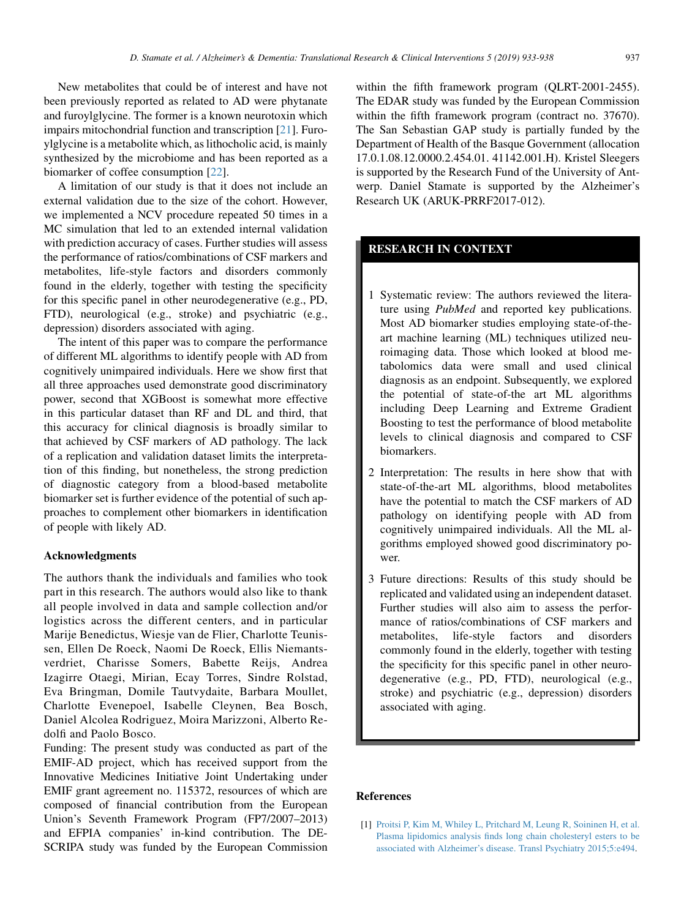<span id="page-4-0"></span>New metabolites that could be of interest and have not been previously reported as related to AD were phytanate and furoylglycine. The former is a known neurotoxin which impairs mitochondrial function and transcription [[21\]](#page-5-0). Furoylglycine is a metabolite which, as lithocholic acid, is mainly synthesized by the microbiome and has been reported as a biomarker of coffee consumption [\[22](#page-5-0)].

A limitation of our study is that it does not include an external validation due to the size of the cohort. However, we implemented a NCV procedure repeated 50 times in a MC simulation that led to an extended internal validation with prediction accuracy of cases. Further studies will assess the performance of ratios/combinations of CSF markers and metabolites, life-style factors and disorders commonly found in the elderly, together with testing the specificity for this specific panel in other neurodegenerative (e.g., PD, FTD), neurological (e.g., stroke) and psychiatric (e.g., depression) disorders associated with aging.

The intent of this paper was to compare the performance of different ML algorithms to identify people with AD from cognitively unimpaired individuals. Here we show first that all three approaches used demonstrate good discriminatory power, second that XGBoost is somewhat more effective in this particular dataset than RF and DL and third, that this accuracy for clinical diagnosis is broadly similar to that achieved by CSF markers of AD pathology. The lack of a replication and validation dataset limits the interpretation of this finding, but nonetheless, the strong prediction of diagnostic category from a blood-based metabolite biomarker set is further evidence of the potential of such approaches to complement other biomarkers in identification of people with likely AD.

#### Acknowledgments

The authors thank the individuals and families who took part in this research. The authors would also like to thank all people involved in data and sample collection and/or logistics across the different centers, and in particular Marije Benedictus, Wiesje van de Flier, Charlotte Teunissen, Ellen De Roeck, Naomi De Roeck, Ellis Niemantsverdriet, Charisse Somers, Babette Reijs, Andrea Izagirre Otaegi, Mirian, Ecay Torres, Sindre Rolstad, Eva Bringman, Domile Tautvydaite, Barbara Moullet, Charlotte Evenepoel, Isabelle Cleynen, Bea Bosch, Daniel Alcolea Rodriguez, Moira Marizzoni, Alberto Redolfi and Paolo Bosco.

Funding: The present study was conducted as part of the EMIF-AD project, which has received support from the Innovative Medicines Initiative Joint Undertaking under EMIF grant agreement no. 115372, resources of which are composed of financial contribution from the European Union's Seventh Framework Program (FP7/2007–2013) and EFPIA companies' in-kind contribution. The DE-SCRIPA study was funded by the European Commission within the fifth framework program (QLRT-2001-2455). The EDAR study was funded by the European Commission within the fifth framework program (contract no. 37670). The San Sebastian GAP study is partially funded by the Department of Health of the Basque Government (allocation 17.0.1.08.12.0000.2.454.01. 41142.001.H). Kristel Sleegers is supported by the Research Fund of the University of Antwerp. Daniel Stamate is supported by the Alzheimer's Research UK (ARUK-PRRF2017-012).

## RESEARCH IN CONTEXT

- 1 Systematic review: The authors reviewed the literature using *PubMed* and reported key publications. Most AD biomarker studies employing state-of-theart machine learning (ML) techniques utilized neuroimaging data. Those which looked at blood metabolomics data were small and used clinical diagnosis as an endpoint. Subsequently, we explored the potential of state-of-the art ML algorithms including Deep Learning and Extreme Gradient Boosting to test the performance of blood metabolite levels to clinical diagnosis and compared to CSF biomarkers.
- 2 Interpretation: The results in here show that with state-of-the-art ML algorithms, blood metabolites have the potential to match the CSF markers of AD pathology on identifying people with AD from cognitively unimpaired individuals. All the ML algorithms employed showed good discriminatory power.
- 3 Future directions: Results of this study should be replicated and validated using an independent dataset. Further studies will also aim to assess the performance of ratios/combinations of CSF markers and metabolites, life-style factors and disorders commonly found in the elderly, together with testing the specificity for this specific panel in other neurodegenerative (e.g., PD, FTD), neurological (e.g., stroke) and psychiatric (e.g., depression) disorders associated with aging.

## References

[1] [Proitsi P, Kim M, Whiley L, Pritchard M, Leung R, Soininen H, et al.](http://refhub.elsevier.com/S2352-8737(19)30087-3/sref1) [Plasma lipidomics analysis finds long chain cholesteryl esters to be](http://refhub.elsevier.com/S2352-8737(19)30087-3/sref1) [associated with Alzheimer's disease. Transl Psychiatry 2015;5:e494](http://refhub.elsevier.com/S2352-8737(19)30087-3/sref1).